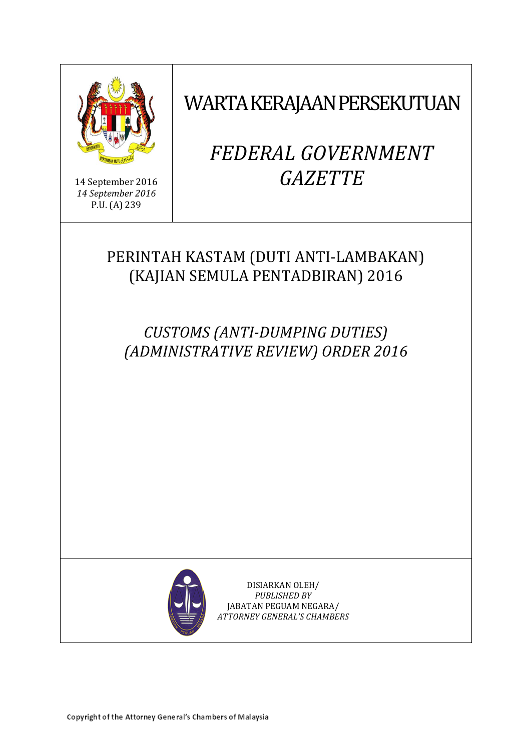

14 September 2016 *14 September 2016* P.U. (A) 239

# WARTA KERAJAAN PERSEKUTUAN

# *FEDERAL GOVERNMENT GAZETTE*

# PERINTAH KASTAM (DUTI ANTI-LAMBAKAN) (KAJIAN SEMULA PENTADBIRAN) 2016

*CUSTOMS (ANTI-DUMPING DUTIES) (ADMINISTRATIVE REVIEW) ORDER 2016*



DISIARKAN OLEH/ *PUBLISHED BY* JABATAN PEGUAM NEGARA/ *ATTORNEY GENERAL'S CHAMBERS*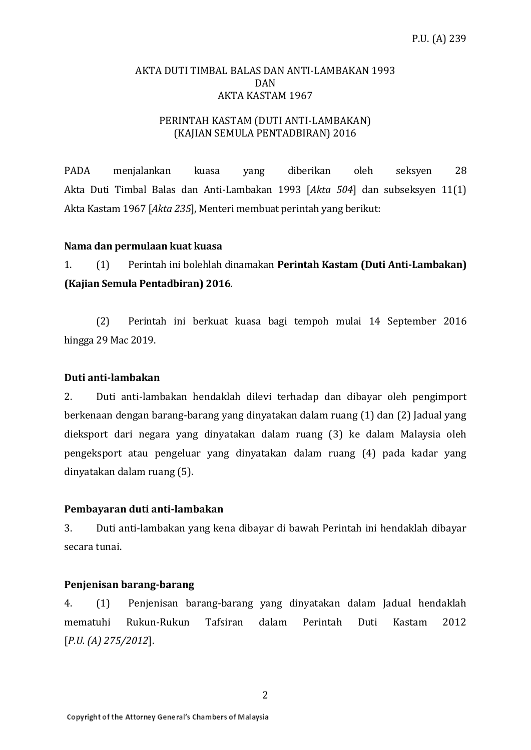# AKTA DUTI TIMBAL BALAS DAN ANTI-LAMBAKAN 1993 DAN AKTA KASTAM 1967

# PERINTAH KASTAM (DUTI ANTI-LAMBAKAN) (KAJIAN SEMULA PENTADBIRAN) 2016

PADA menjalankan kuasa yang diberikan oleh seksyen 28 Akta Duti Timbal Balas dan Anti-Lambakan 1993 [*Akta 504*] dan subseksyen 11(1) Akta Kastam 1967 [*Akta 235*], Menteri membuat perintah yang berikut:

### **Nama dan permulaan kuat kuasa**

1. (1) Perintah ini bolehlah dinamakan **Perintah Kastam (Duti Anti-Lambakan) (Kajian Semula Pentadbiran) 2016**.

(2) Perintah ini berkuat kuasa bagi tempoh mulai 14 September 2016 hingga 29 Mac 2019.

#### **Duti anti-lambakan**

2. Duti anti-lambakan hendaklah dilevi terhadap dan dibayar oleh pengimport berkenaan dengan barang-barang yang dinyatakan dalam ruang (1) dan (2) Jadual yang dieksport dari negara yang dinyatakan dalam ruang (3) ke dalam Malaysia oleh pengeksport atau pengeluar yang dinyatakan dalam ruang (4) pada kadar yang dinyatakan dalam ruang (5).

#### **Pembayaran duti anti-lambakan**

3. Duti anti-lambakan yang kena dibayar di bawah Perintah ini hendaklah dibayar secara tunai.

### **Penjenisan barang-barang**

4. (1) Penjenisan barang-barang yang dinyatakan dalam Jadual hendaklah mematuhi Rukun-Rukun Tafsiran dalam Perintah Duti Kastam 2012 [*P.U. (A) 275/2012*].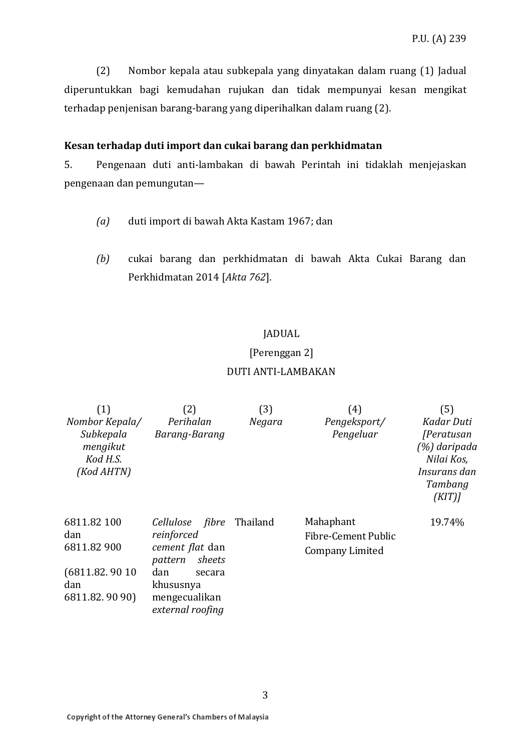(2) Nombor kepala atau subkepala yang dinyatakan dalam ruang (1) Jadual diperuntukkan bagi kemudahan rujukan dan tidak mempunyai kesan mengikat terhadap penjenisan barang-barang yang diperihalkan dalam ruang (2).

### **Kesan terhadap duti import dan cukai barang dan perkhidmatan**

5. Pengenaan duti anti-lambakan di bawah Perintah ini tidaklah menjejaskan pengenaan dan pemungutan—

- *(a)* duti import di bawah Akta Kastam 1967; dan
- *(b)* cukai barang dan perkhidmatan di bawah Akta Cukai Barang dan Perkhidmatan 2014 [*Akta 762*].

# JADUAL

# [Perenggan 2]

# DUTI ANTI-LAMBAKAN

| (1)<br>Nombor Kepala/<br>Subkepala<br>mengikut<br>Kod H.S.<br>(Kod AHTN)    | (2)<br>Perihalan<br>Barang-Barang                                                                                                        | (3)<br>Negara | (4)<br>Pengeksport/<br>Pengeluar                    | (5)<br>Kadar Duti<br><i>[Peratusan</i><br>(%) daripada<br>Nilai Kos,<br>Insurans dan<br>Tambang<br>(KIT) |
|-----------------------------------------------------------------------------|------------------------------------------------------------------------------------------------------------------------------------------|---------------|-----------------------------------------------------|----------------------------------------------------------------------------------------------------------|
| 6811.82 100<br>dan<br>6811.82 900<br>(6811.82.9010)<br>dan<br>6811.82.9090) | Cellulose fibre<br>reinforced<br>cement flat dan<br>sheets<br>pattern<br>dan<br>secara<br>khususnya<br>mengecualikan<br>external roofing | Thailand      | Mahaphant<br>Fibre-Cement Public<br>Company Limited | 19.74%                                                                                                   |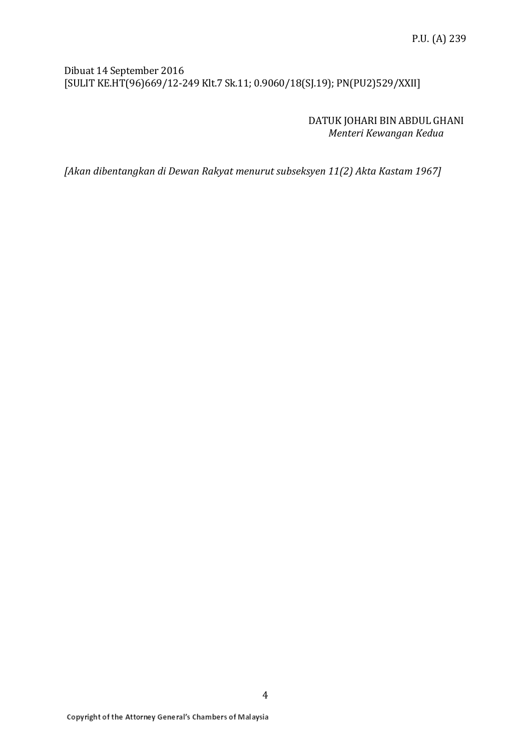# Dibuat 14 September 2016 [SULIT KE.HT(96)669/12-249 Klt.7 Sk.11; 0.9060/18(SJ.19); PN(PU2)529/XXII]

DATUK JOHARI BIN ABDUL GHANI *Menteri Kewangan Kedua*

*[Akan dibentangkan di Dewan Rakyat menurut subseksyen 11(2) Akta Kastam 1967]*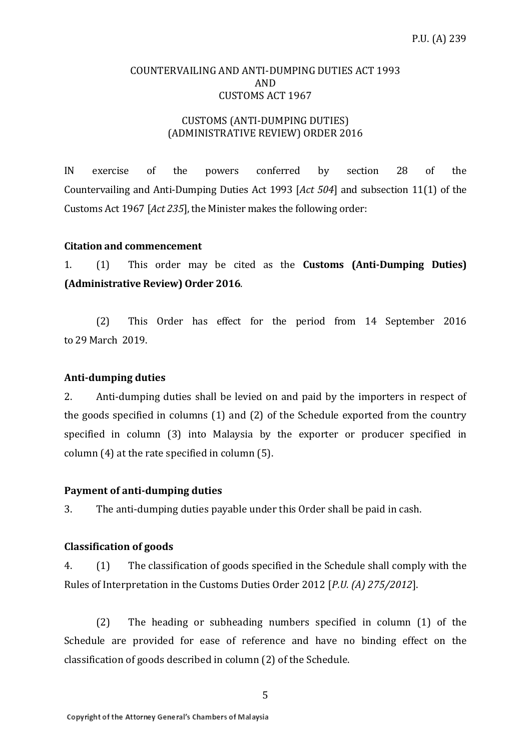# COUNTERVAILING AND ANTI-DUMPING DUTIES ACT 1993 AND CUSTOMS ACT 1967

# CUSTOMS (ANTI-DUMPING DUTIES) (ADMINISTRATIVE REVIEW) ORDER 2016

IN exercise of the powers conferred by section 28 of the Countervailing and Anti-Dumping Duties Act 1993 [*Act 504*] and subsection 11(1) of the Customs Act 1967 [*Act 235*], the Minister makes the following order:

# **Citation and commencement**

1. (1) This order may be cited as the **Customs (Anti-Dumping Duties) (Administrative Review) Order 2016**.

(2) This Order has effect for the period from 14 September 2016 to 29 March 2019.

#### **Anti-dumping duties**

2. Anti-dumping duties shall be levied on and paid by the importers in respect of the goods specified in columns (1) and (2) of the Schedule exported from the country specified in column (3) into Malaysia by the exporter or producer specified in column (4) at the rate specified in column (5).

#### **Payment of anti-dumping duties**

3. The anti-dumping duties payable under this Order shall be paid in cash.

# **Classification of goods**

4. (1) The classification of goods specified in the Schedule shall comply with the Rules of Interpretation in the Customs Duties Order 2012 [*P.U. (A) 275/2012*].

(2) The heading or subheading numbers specified in column (1) of the Schedule are provided for ease of reference and have no binding effect on the classification of goods described in column (2) of the Schedule.